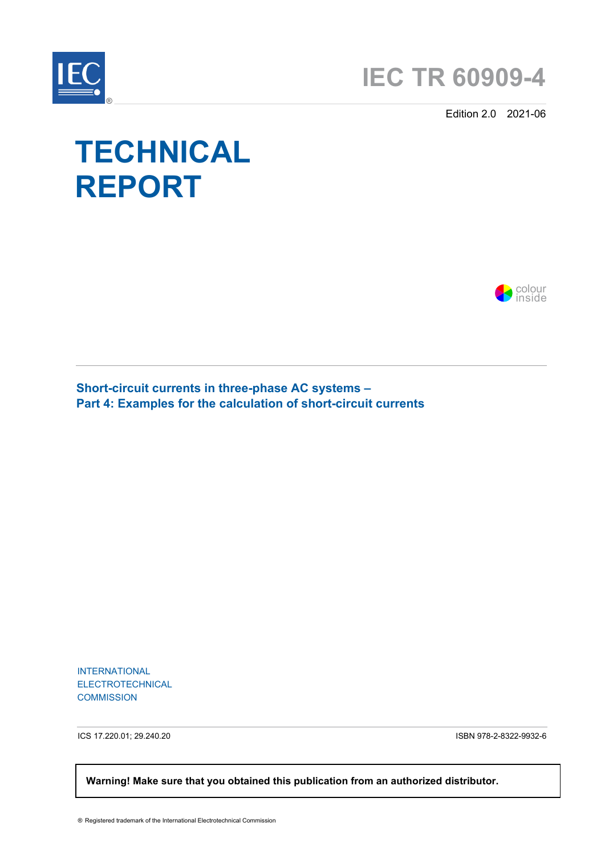



Edition 2.0 2021-06

# **TECHNICAL REPORT**



**Short-circuit currents in three-phase AC systems – Part 4: Examples for the calculation of short-circuit currents**

INTERNATIONAL ELECTROTECHNICAL **COMMISSION** 

ICS 17.220.01; 29.240.20 ISBN 978-2-8322-9932-6

 **Warning! Make sure that you obtained this publication from an authorized distributor.**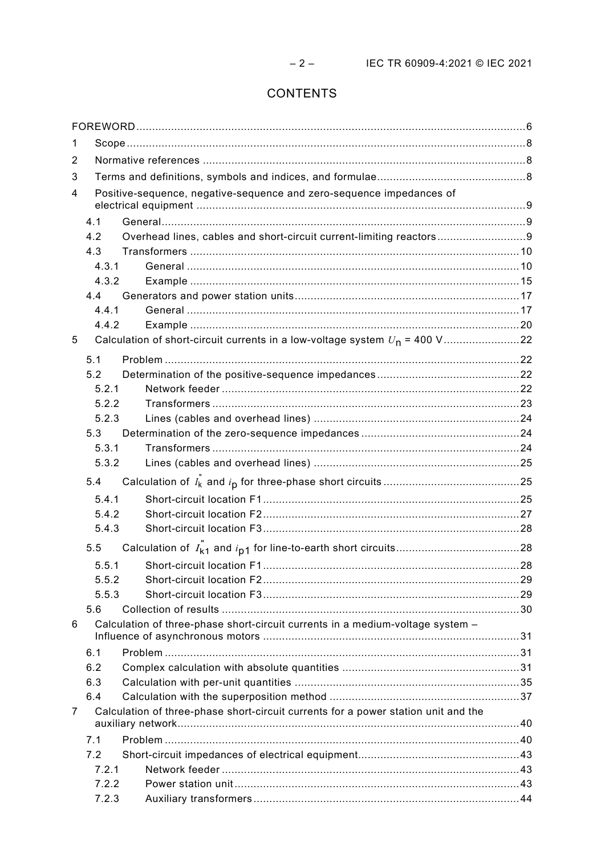# CONTENTS

| 1 |       |                                                                                    |  |  |
|---|-------|------------------------------------------------------------------------------------|--|--|
| 2 |       |                                                                                    |  |  |
| 3 |       |                                                                                    |  |  |
| 4 |       | Positive-sequence, negative-sequence and zero-sequence impedances of               |  |  |
|   | 4.1   |                                                                                    |  |  |
|   | 4.2   | Overhead lines, cables and short-circuit current-limiting reactors9                |  |  |
|   | 4.3   |                                                                                    |  |  |
|   | 4.3.1 |                                                                                    |  |  |
|   | 4.3.2 |                                                                                    |  |  |
|   | 4.4   |                                                                                    |  |  |
|   | 4.4.1 |                                                                                    |  |  |
|   | 4.4.2 |                                                                                    |  |  |
| 5 |       |                                                                                    |  |  |
|   | 5.1   |                                                                                    |  |  |
|   | 5.2   |                                                                                    |  |  |
|   | 5.2.1 |                                                                                    |  |  |
|   | 5.2.2 |                                                                                    |  |  |
|   | 5.2.3 |                                                                                    |  |  |
|   | 5.3   |                                                                                    |  |  |
|   | 5.3.1 |                                                                                    |  |  |
|   | 5.3.2 |                                                                                    |  |  |
|   | 5.4   |                                                                                    |  |  |
|   | 5.4.1 |                                                                                    |  |  |
|   | 5.4.2 |                                                                                    |  |  |
|   | 5.4.3 |                                                                                    |  |  |
|   | 5.5   |                                                                                    |  |  |
|   | 5.5.1 |                                                                                    |  |  |
|   | 5.5.2 |                                                                                    |  |  |
|   | 5.5.3 |                                                                                    |  |  |
| 6 | 5.6   |                                                                                    |  |  |
|   |       | Calculation of three-phase short-circuit currents in a medium-voltage system -     |  |  |
|   | 6.1   |                                                                                    |  |  |
|   | 6.2   |                                                                                    |  |  |
|   | 6.3   |                                                                                    |  |  |
|   | 6.4   |                                                                                    |  |  |
| 7 |       | Calculation of three-phase short-circuit currents for a power station unit and the |  |  |
|   | 7.1   |                                                                                    |  |  |
|   | 7.2   |                                                                                    |  |  |
|   | 7.2.1 |                                                                                    |  |  |
|   | 7.2.2 |                                                                                    |  |  |
|   | 7.2.3 |                                                                                    |  |  |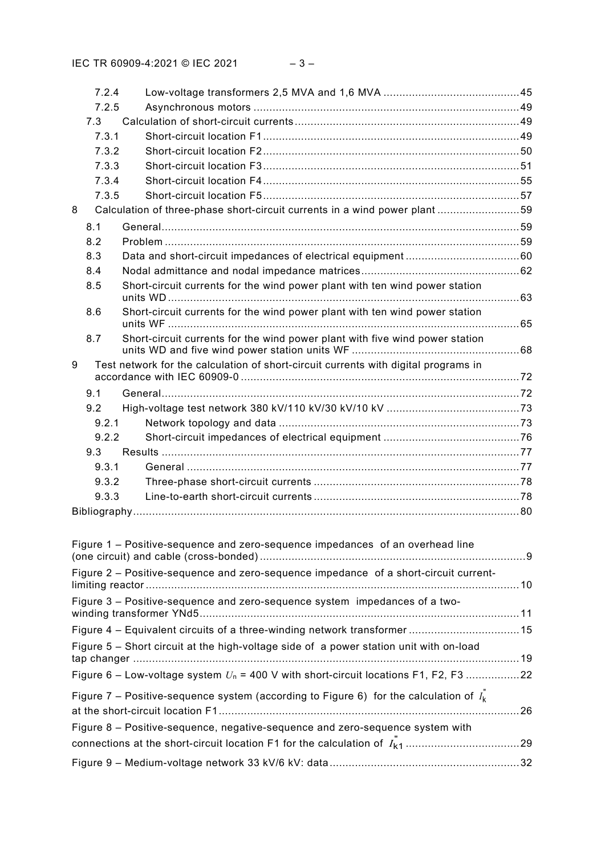| 7.2.4                                                                                      |  |  |  |  |
|--------------------------------------------------------------------------------------------|--|--|--|--|
| 7.2.5                                                                                      |  |  |  |  |
| 7.3                                                                                        |  |  |  |  |
| 7.3.1                                                                                      |  |  |  |  |
| 7.3.2                                                                                      |  |  |  |  |
| 7.3.3                                                                                      |  |  |  |  |
| 7.3.4                                                                                      |  |  |  |  |
| 7.3.5                                                                                      |  |  |  |  |
| Calculation of three-phase short-circuit currents in a wind power plant  59<br>8           |  |  |  |  |
| 8.1                                                                                        |  |  |  |  |
| 8.2                                                                                        |  |  |  |  |
| 8.3                                                                                        |  |  |  |  |
| 8.4                                                                                        |  |  |  |  |
| Short-circuit currents for the wind power plant with ten wind power station<br>8.5         |  |  |  |  |
| Short-circuit currents for the wind power plant with ten wind power station<br>8.6         |  |  |  |  |
| Short-circuit currents for the wind power plant with five wind power station<br>8.7        |  |  |  |  |
| 9<br>Test network for the calculation of short-circuit currents with digital programs in   |  |  |  |  |
| 9.1                                                                                        |  |  |  |  |
| 9.2                                                                                        |  |  |  |  |
| 9.2.1                                                                                      |  |  |  |  |
| 9.2.2                                                                                      |  |  |  |  |
| 9.3                                                                                        |  |  |  |  |
| 9.3.1                                                                                      |  |  |  |  |
| 9.3.2                                                                                      |  |  |  |  |
| 9.3.3                                                                                      |  |  |  |  |
|                                                                                            |  |  |  |  |
|                                                                                            |  |  |  |  |
| Figure 1 – Positive-sequence and zero-sequence impedances of an overhead line              |  |  |  |  |
| Figure 2 - Positive-sequence and zero-sequence impedance of a short-circuit current-       |  |  |  |  |
| Figure 3 - Positive-sequence and zero-sequence system impedances of a two-                 |  |  |  |  |
|                                                                                            |  |  |  |  |
| Figure 5 - Short circuit at the high-voltage side of a power station unit with on-load     |  |  |  |  |
| Figure 6 – Low-voltage system $U_n$ = 400 V with short-circuit locations F1, F2, F3 22     |  |  |  |  |
| Figure 7 – Positive-sequence system (according to Figure 6) for the calculation of $I_{k}$ |  |  |  |  |
| Figure 8 - Positive-sequence, negative-sequence and zero-sequence system with              |  |  |  |  |

connections at the short-circuit location F1 for the calculation of " k1 *I* ....................................29 Figure 9 – Medium-voltage network 33 kV/6 kV: data............................................................32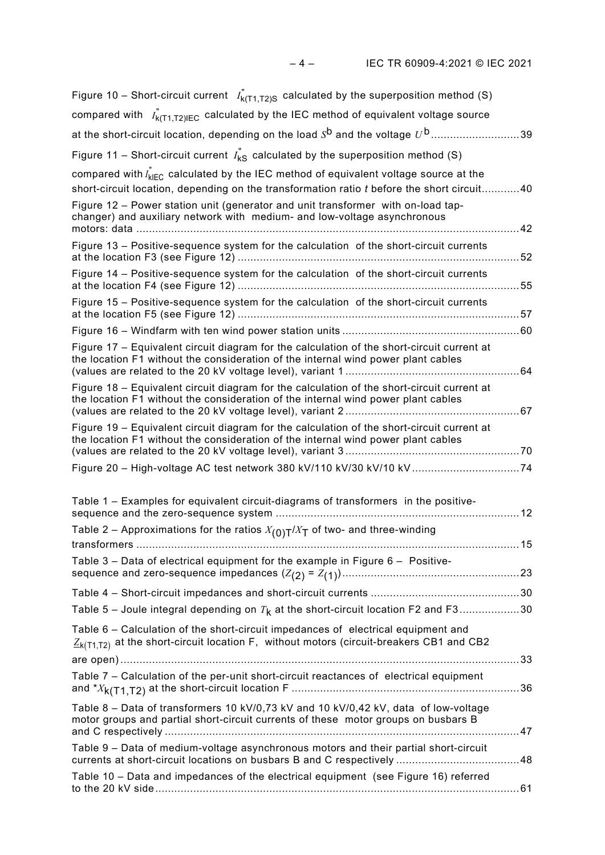| Figure 10 – Short-circuit current $I_{k(T1,T2)S}^{T}$ calculated by the superposition method (S)                                                                                              |    |
|-----------------------------------------------------------------------------------------------------------------------------------------------------------------------------------------------|----|
| compared with $I_{k(T1,T2) EC}^{T}$ calculated by the IEC method of equivalent voltage source                                                                                                 |    |
| at the short-circuit location, depending on the load $S^{\mathsf{b}}$ and the voltage $U^{\mathsf{b}}$ 39                                                                                     |    |
| Figure 11 – Short-circuit current $I_{\text{KS}}^{''}$ calculated by the superposition method (S)                                                                                             |    |
| compared with $I_{\text{kIFC}}$ calculated by the IEC method of equivalent voltage source at the                                                                                              |    |
| short-circuit location, depending on the transformation ratio t before the short circuit40                                                                                                    |    |
| Figure 12 - Power station unit (generator and unit transformer with on-load tap-<br>changer) and auxiliary network with medium- and low-voltage asynchronous<br>. 42                          |    |
| Figure 13 - Positive-sequence system for the calculation of the short-circuit currents                                                                                                        |    |
| Figure 14 - Positive-sequence system for the calculation of the short-circuit currents                                                                                                        | 55 |
| Figure 15 – Positive-sequence system for the calculation of the short-circuit currents                                                                                                        |    |
|                                                                                                                                                                                               |    |
| Figure 17 – Equivalent circuit diagram for the calculation of the short-circuit current at<br>the location F1 without the consideration of the internal wind power plant cables               |    |
| Figure 18 - Equivalent circuit diagram for the calculation of the short-circuit current at<br>the location F1 without the consideration of the internal wind power plant cables               |    |
| Figure 19 – Equivalent circuit diagram for the calculation of the short-circuit current at<br>the location F1 without the consideration of the internal wind power plant cables               |    |
| Figure 20 - High-voltage AC test network 380 kV/110 kV/30 kV/10 kV 74                                                                                                                         |    |
| Table 1 - Examples for equivalent circuit-diagrams of transformers in the positive-                                                                                                           |    |
| Table 2 – Approximations for the ratios $X_{(0)T}/X_T$ of two- and three-winding                                                                                                              |    |
|                                                                                                                                                                                               |    |
| Table 3 - Data of electrical equipment for the example in Figure 6 - Positive-                                                                                                                |    |
|                                                                                                                                                                                               |    |
| Table 5 – Joule integral depending on $T_k$ at the short-circuit location F2 and F330                                                                                                         |    |
| Table 6 – Calculation of the short-circuit impedances of electrical equipment and<br>$\underline{Z}_{k(T1,T2)}$ at the short-circuit location F, without motors (circuit-breakers CB1 and CB2 |    |
|                                                                                                                                                                                               |    |
| Table 7 - Calculation of the per-unit short-circuit reactances of electrical equipment                                                                                                        |    |
| Table 8 - Data of transformers 10 kV/0,73 kV and 10 kV/0,42 kV, data of low-voltage<br>motor groups and partial short-circuit currents of these motor groups on busbars B                     |    |
| Table 9 - Data of medium-voltage asynchronous motors and their partial short-circuit                                                                                                          |    |
| Table 10 - Data and impedances of the electrical equipment (see Figure 16) referred                                                                                                           |    |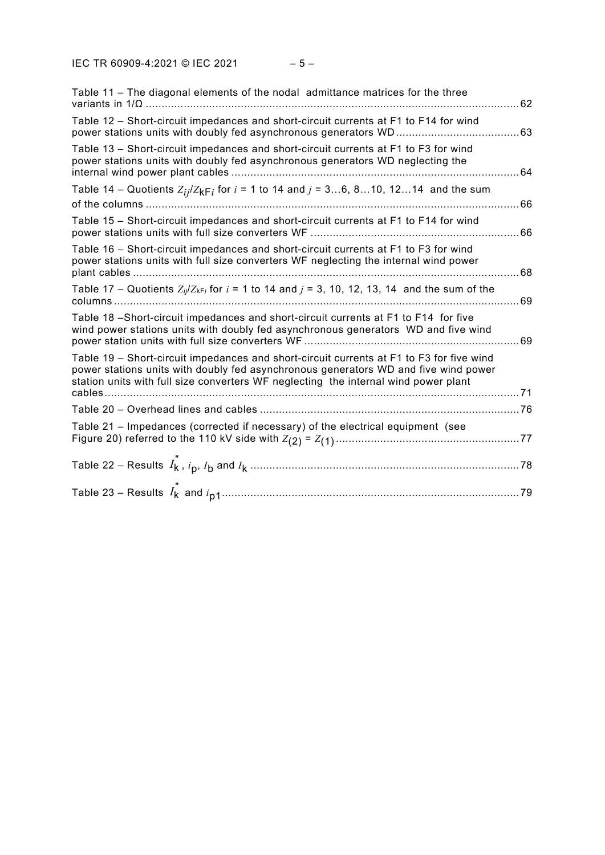| Table 11 – The diagonal elements of the nodal admittance matrices for the three                                                                                                                                                                                        | 62 |
|------------------------------------------------------------------------------------------------------------------------------------------------------------------------------------------------------------------------------------------------------------------------|----|
| Table 12 - Short-circuit impedances and short-circuit currents at F1 to F14 for wind                                                                                                                                                                                   | 63 |
| Table 13 - Short-circuit impedances and short-circuit currents at F1 to F3 for wind<br>power stations units with doubly fed asynchronous generators WD neglecting the                                                                                                  | 64 |
| Table 14 – Quotients $Z_{ij}/Z_{kFj}$ for $i = 1$ to 14 and $j = 36, 810, 1214$ and the sum                                                                                                                                                                            | 66 |
| Table 15 - Short-circuit impedances and short-circuit currents at F1 to F14 for wind                                                                                                                                                                                   | 66 |
| Table 16 – Short-circuit impedances and short-circuit currents at F1 to F3 for wind<br>power stations units with full size converters WF neglecting the internal wind power                                                                                            | 68 |
| Table 17 – Quotients $Z_{ij}/Z_{kFi}$ for $i = 1$ to 14 and $j = 3, 10, 12, 13, 14$ and the sum of the                                                                                                                                                                 | 69 |
| Table 18 -Short-circuit impedances and short-circuit currents at F1 to F14 for five<br>wind power stations units with doubly fed asynchronous generators WD and five wind                                                                                              |    |
| Table 19 – Short-circuit impedances and short-circuit currents at F1 to F3 for five wind<br>power stations units with doubly fed asynchronous generators WD and five wind power<br>station units with full size converters WF neglecting the internal wind power plant |    |
|                                                                                                                                                                                                                                                                        |    |
|                                                                                                                                                                                                                                                                        |    |
| Table 21 – Impedances (corrected if necessary) of the electrical equipment (see                                                                                                                                                                                        |    |
|                                                                                                                                                                                                                                                                        |    |
|                                                                                                                                                                                                                                                                        |    |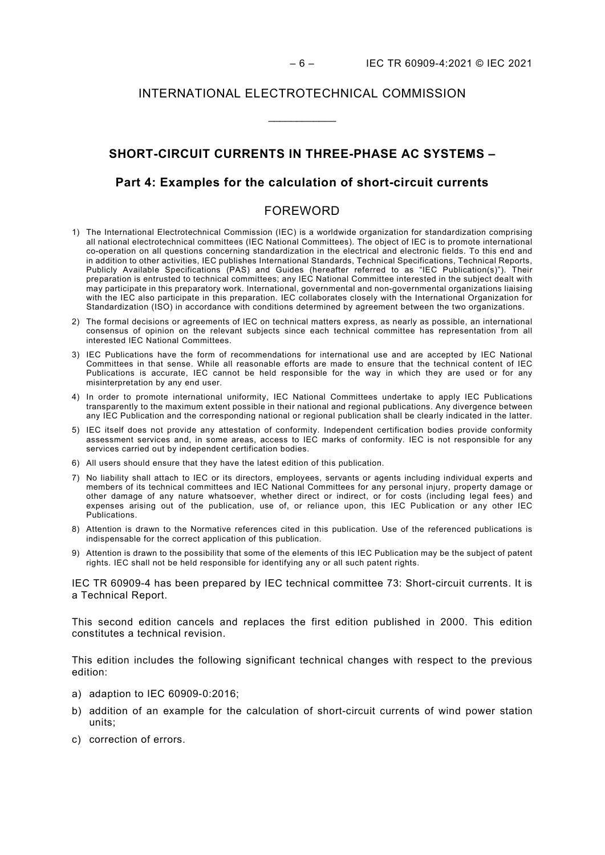## INTERNATIONAL ELECTROTECHNICAL COMMISSION

\_\_\_\_\_\_\_\_\_\_\_\_

## **SHORT-CIRCUIT CURRENTS IN THREE-PHASE AC SYSTEMS –**

## **Part 4: Examples for the calculation of short-circuit currents**

#### FOREWORD

- <span id="page-5-0"></span>1) The International Electrotechnical Commission (IEC) is a worldwide organization for standardization comprising all national electrotechnical committees (IEC National Committees). The object of IEC is to promote international co-operation on all questions concerning standardization in the electrical and electronic fields. To this end and in addition to other activities, IEC publishes International Standards, Technical Specifications, Technical Reports, Publicly Available Specifications (PAS) and Guides (hereafter referred to as "IEC Publication(s)"). Their preparation is entrusted to technical committees; any IEC National Committee interested in the subject dealt with may participate in this preparatory work. International, governmental and non-governmental organizations liaising with the IEC also participate in this preparation. IEC collaborates closely with the International Organization for Standardization (ISO) in accordance with conditions determined by agreement between the two organizations.
- 2) The formal decisions or agreements of IEC on technical matters express, as nearly as possible, an international consensus of opinion on the relevant subjects since each technical committee has representation from all interested IEC National Committees.
- 3) IEC Publications have the form of recommendations for international use and are accepted by IEC National Committees in that sense. While all reasonable efforts are made to ensure that the technical content of IEC Publications is accurate, IEC cannot be held responsible for the way in which they are used or for any misinterpretation by any end user.
- 4) In order to promote international uniformity, IEC National Committees undertake to apply IEC Publications transparently to the maximum extent possible in their national and regional publications. Any divergence between any IEC Publication and the corresponding national or regional publication shall be clearly indicated in the latter.
- 5) IEC itself does not provide any attestation of conformity. Independent certification bodies provide conformity assessment services and, in some areas, access to IEC marks of conformity. IEC is not responsible for any services carried out by independent certification bodies.
- 6) All users should ensure that they have the latest edition of this publication.
- 7) No liability shall attach to IEC or its directors, employees, servants or agents including individual experts and members of its technical committees and IEC National Committees for any personal injury, property damage or other damage of any nature whatsoever, whether direct or indirect, or for costs (including legal fees) and expenses arising out of the publication, use of, or reliance upon, this IEC Publication or any other IEC Publications.
- 8) Attention is drawn to the Normative references cited in this publication. Use of the referenced publications is indispensable for the correct application of this publication.
- 9) Attention is drawn to the possibility that some of the elements of this IEC Publication may be the subject of patent rights. IEC shall not be held responsible for identifying any or all such patent rights.

IEC TR 60909-4 has been prepared by IEC technical committee 73: Short-circuit currents. It is a Technical Report.

This second edition cancels and replaces the first edition published in 2000. This edition constitutes a technical revision.

This edition includes the following significant technical changes with respect to the previous edition:

- a) adaption to IEC 60909-0:2016;
- b) addition of an example for the calculation of short-circuit currents of wind power station units;
- c) correction of errors.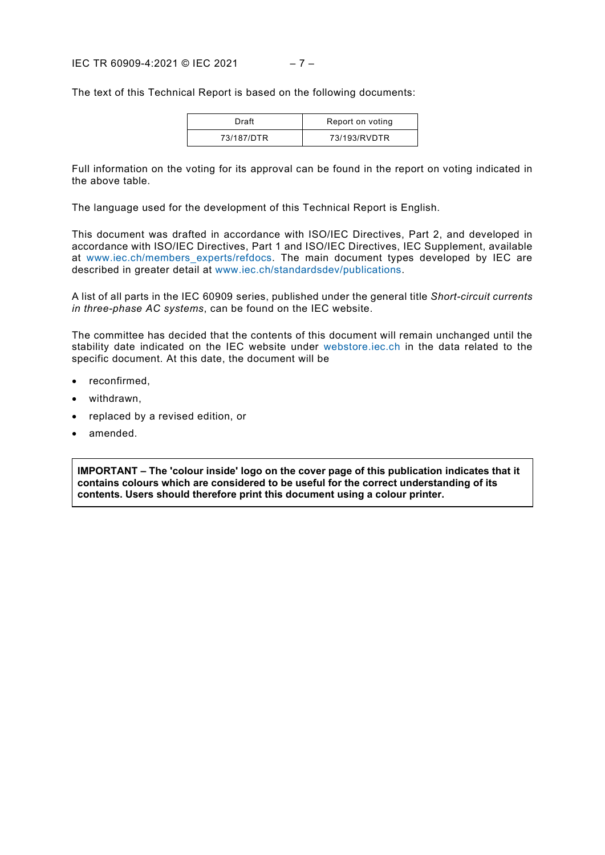The text of this Technical Report is based on the following documents:

| Draft      | Report on voting |
|------------|------------------|
| 73/187/DTR | 73/193/RVDTR     |

Full information on the voting for its approval can be found in the report on voting indicated in the above table.

The language used for the development of this Technical Report is English.

This document was drafted in accordance with ISO/IEC Directives, Part 2, and developed in accordance with ISO/IEC Directives, Part 1 and ISO/IEC Directives, IEC Supplement, available at [www.iec.ch/members\\_experts/refdocs.](http://www.iec.ch/members_experts/refdocs) The main document types developed by IEC are described in greater detail at [www.iec.ch/standardsdev/publications.](http://www.iec.ch/standardsdev/publications)

A list of all parts in the IEC 60909 series, published under the general title *Short-circuit currents in three-phase AC systems*, can be found on the IEC website.

The committee has decided that the contents of this document will remain unchanged until the stability date indicated on the IEC website under [webstore.iec.ch](https://webstore.iec.ch/?ref=menu) in the data related to the specific document. At this date, the document will be

- reconfirmed,
- withdrawn,
- replaced by a revised edition, or
- amended.

**IMPORTANT – The 'colour inside' logo on the cover page of this publication indicates that it contains colours which are considered to be useful for the correct understanding of its contents. Users should therefore print this document using a colour printer.**